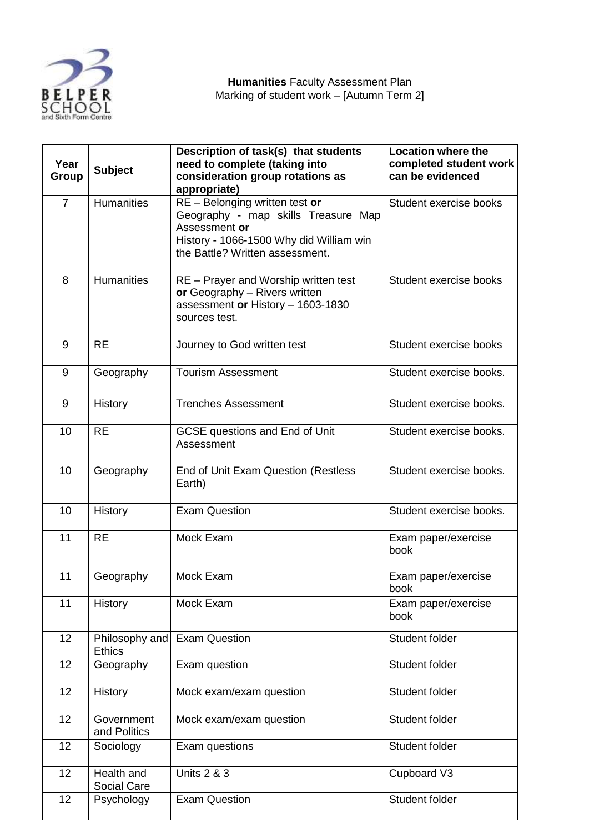

| Year<br>Group  | <b>Subject</b>                  | Description of task(s) that students<br>need to complete (taking into<br>consideration group rotations as<br>appropriate)                                            | <b>Location where the</b><br>completed student work<br>can be evidenced |
|----------------|---------------------------------|----------------------------------------------------------------------------------------------------------------------------------------------------------------------|-------------------------------------------------------------------------|
| $\overline{7}$ | <b>Humanities</b>               | RE - Belonging written test or<br>Geography - map skills Treasure Map<br>Assessment or<br>History - 1066-1500 Why did William win<br>the Battle? Written assessment. | Student exercise books                                                  |
| 8              | <b>Humanities</b>               | RE - Prayer and Worship written test<br>or Geography - Rivers written<br>assessment or History - 1603-1830<br>sources test.                                          | Student exercise books                                                  |
| 9              | <b>RE</b>                       | Journey to God written test                                                                                                                                          | Student exercise books                                                  |
| 9              | Geography                       | <b>Tourism Assessment</b>                                                                                                                                            | Student exercise books.                                                 |
| 9              | History                         | <b>Trenches Assessment</b>                                                                                                                                           | Student exercise books.                                                 |
| 10             | <b>RE</b>                       | <b>GCSE</b> questions and End of Unit<br>Assessment                                                                                                                  | Student exercise books.                                                 |
| 10             | Geography                       | End of Unit Exam Question (Restless<br>Earth)                                                                                                                        | Student exercise books.                                                 |
| 10             | History                         | <b>Exam Question</b>                                                                                                                                                 | Student exercise books.                                                 |
| 11             | <b>RE</b>                       | Mock Exam                                                                                                                                                            | Exam paper/exercise<br>book                                             |
| 11             | Geography                       | Mock Exam                                                                                                                                                            | Exam paper/exercise<br>book                                             |
| 11             | History                         | Mock Exam                                                                                                                                                            | Exam paper/exercise<br>book                                             |
| 12             | Philosophy and<br><b>Ethics</b> | <b>Exam Question</b>                                                                                                                                                 | Student folder                                                          |
| 12             | Geography                       | Exam question                                                                                                                                                        | Student folder                                                          |
| 12             | History                         | Mock exam/exam question                                                                                                                                              | Student folder                                                          |
| 12             | Government<br>and Politics      | Mock exam/exam question                                                                                                                                              | Student folder                                                          |
| 12             | Sociology                       | Exam questions                                                                                                                                                       | Student folder                                                          |
| 12             | Health and<br>Social Care       | <b>Units 2 &amp; 3</b>                                                                                                                                               | Cupboard V3                                                             |
| 12             | Psychology                      | <b>Exam Question</b>                                                                                                                                                 | Student folder                                                          |